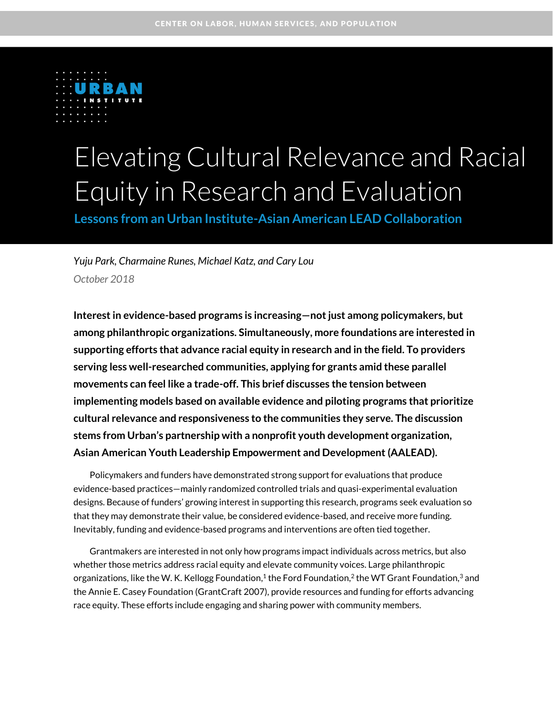

# Elevating Cultural Relevance and Racial Equity in Research and Evaluation

**Lessons from an Urban Institute-Asian American LEAD Collaboration** 

*Yuju Park, Charmaine Runes, Michael Katz, and Cary Lou October 2018*

**Interest in evidence-based programs is increasing—not just among policymakers, but among philanthropic organizations. Simultaneously, more foundations are interested in supporting efforts that advance racial equity in research and in the field. To providers serving less well-researched communities, applying for grants amid these parallel movements can feel like a trade-off. This brief discusses the tension between implementing models based on available evidence and piloting programs that prioritize cultural relevance and responsiveness to the communities they serve. The discussion stems from Urban's partnership with a nonprofit youth development organization, Asian American Youth Leadership Empowerment and Development (AALEAD).** 

Policymakers and funders have demonstrated strong support for evaluations that produce evidence-based practices—mainly randomized controlled trials and quasi-experimental evaluation designs. Because of funders' growing interest in supporting this research, programs seek evaluation so that they may demonstrate their value, be considered evidence-based, and receive more funding. Inevitably, funding and evidence-based programs and interventions are often tied together.

Grantmakers are interested in not only how programs impact individuals across metrics, but also whether those metrics address racial equity and elevate community voices. Large philanthropic organizations, like the W. K. Kellogg Foundation, $^1$  the Ford Foundation, $^2$  the WT Grant Foundation, $^3$  and the Annie E. Casey Foundation (GrantCraft 2007), provide resources and funding for efforts advancing race equity. These efforts include engaging and sharing power with community members.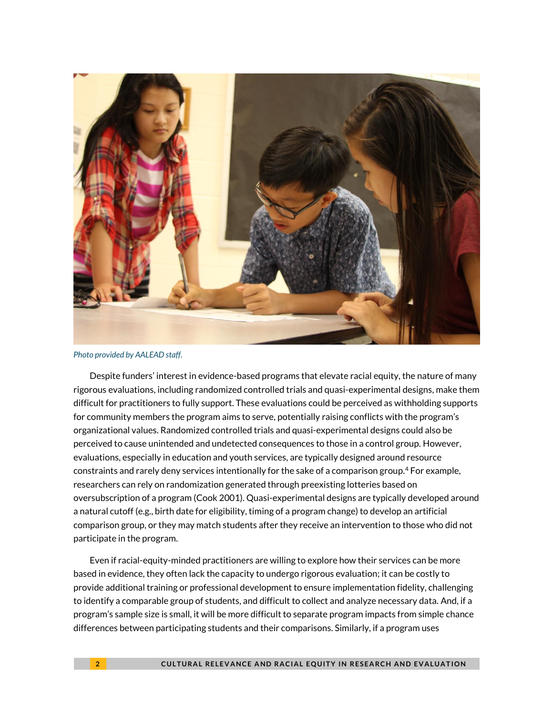

*Photo provided by AALEAD staff.*

Despite funders' interest in evidence-based programs that elevate racial equity, the nature of many rigorous evaluations, including randomized controlled trials and quasi-experimental designs, make them difficult for practitioners to fully support. These evaluations could be perceived as withholding supports for community members the program aims to serve, potentially raising conflicts with the program's organizational values. Randomized controlled trials and quasi-experimental designs could also be perceived to cause unintended and undetected consequences to those in a control group. However, evaluations, especially in education and youth services, are typically designed around resource constraints and rarely deny services intentionally for the sake of a comparison group.<sup>4</sup> For example, researchers can rely on randomization generated through preexisting lotteries based on oversubscription of a program (Cook 2001). Quasi-experimental designs are typically developed around a natural cutoff (e.g., birth date for eligibility, timing of a program change) to develop an artificial comparison group, or they may match students after they receive an intervention to those who did not participate in the program.

Even if racial-equity-minded practitioners are willing to explore how their services can be more based in evidence, they often lack the capacity to undergo rigorous evaluation; it can be costly to provide additional training or professional development to ensure implementation fidelity, challenging to identify a comparable group of students, and difficult to collect and analyze necessary data. And, if a program's sample size is small, it will be more difficult to separate program impacts from simple chance differences between participating students and their comparisons. Similarly, if a program uses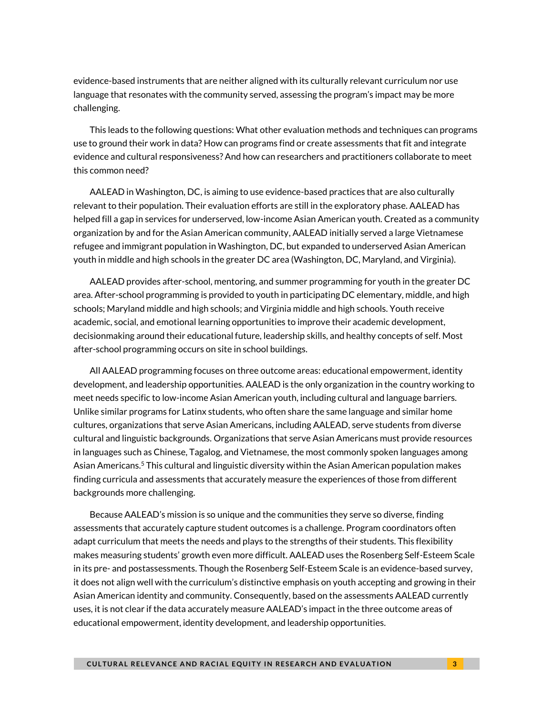evidence-based instruments that are neither aligned with its culturally relevant curriculum nor use language that resonates with the community served, assessing the program's impact may be more challenging.

This leads to the following questions: What other evaluation methods and techniques can programs use to ground their work in data? How can programs find or create assessments that fit and integrate evidence and cultural responsiveness? And how can researchers and practitioners collaborate to meet this common need?

AALEAD in Washington, DC, is aiming to use evidence-based practices that are also culturally relevant to their population. Their evaluation efforts are still in the exploratory phase. AALEAD has helped fill a gap in services for underserved, low-income Asian American youth. Created as a community organization by and for the Asian American community, AALEAD initially served a large Vietnamese refugee and immigrant population in Washington, DC, but expanded to underserved Asian American youth in middle and high schools in the greater DC area (Washington, DC, Maryland, and Virginia).

AALEAD provides after-school, mentoring, and summer programming for youth in the greater DC area. After-school programming is provided to youth in participating DC elementary, middle, and high schools; Maryland middle and high schools; and Virginia middle and high schools. Youth receive academic, social, and emotional learning opportunities to improve their academic development, decisionmaking around their educational future, leadership skills, and healthy concepts of self. Most after-school programming occurs on site in school buildings.

All AALEAD programming focuses on three outcome areas: educational empowerment, identity development, and leadership opportunities. AALEAD is the only organization in the country working to meet needs specific to low-income Asian American youth, including cultural and language barriers. Unlike similar programs for Latinx students, who often share the same language and similar home cultures, organizations that serve Asian Americans, including AALEAD, serve students from diverse cultural and linguistic backgrounds. Organizations that serve Asian Americans must provide resources in languages such as Chinese, Tagalog, and Vietnamese, the most commonly spoken languages among Asian Americans. <sup>5</sup> This cultural and linguistic diversity within the Asian American population makes finding curricula and assessments that accurately measure the experiences of those from different backgrounds more challenging.

Because AALEAD's mission is so unique and the communities they serve so diverse, finding assessments that accurately capture student outcomes is a challenge. Program coordinators often adapt curriculum that meets the needs and plays to the strengths of their students. This flexibility makes measuring students' growth even more difficult. AALEAD uses the Rosenberg Self-Esteem Scale in its pre- and postassessments. Though the Rosenberg Self-Esteem Scale is an evidence-based survey, it does not align well with the curriculum's distinctive emphasis on youth accepting and growing in their Asian American identity and community. Consequently, based on the assessments AALEAD currently uses, it is not clear if the data accurately measure AALEAD's impact in the three outcome areas of educational empowerment, identity development, and leadership opportunities.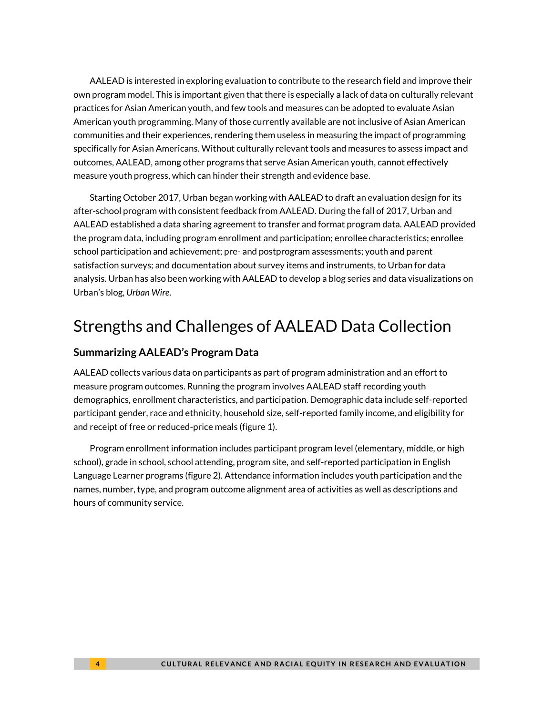AALEAD is interested in exploring evaluation to contribute to the research field and improve their own program model. This is important given that there is especially a lack of data on culturally relevant practices for Asian American youth, and few tools and measures can be adopted to evaluate Asian American youth programming. Many of those currently available are not inclusive of Asian American communities and their experiences, rendering them useless in measuring the impact of programming specifically for Asian Americans. Without culturally relevant tools and measures to assess impact and outcomes, AALEAD, among other programs that serve Asian American youth, cannot effectively measure youth progress, which can hinder their strength and evidence base.

Starting October 2017, Urban began working with AALEAD to draft an evaluation design for its after-school program with consistent feedback from AALEAD. During the fall of 2017, Urban and AALEAD established a data sharing agreement to transfer and format program data. AALEAD provided the program data, including program enrollment and participation; enrollee characteristics; enrollee school participation and achievement; pre- and postprogram assessments; youth and parent satisfaction surveys; and documentation about survey items and instruments, to Urban for data analysis. Urban has also been working with AALEAD to develop a blog series and data visualizations on Urban's blog, *Urban Wire*.

# Strengths and Challenges of AALEAD Data Collection

## **Summarizing AALEAD's Program Data**

AALEAD collects various data on participants as part of program administration and an effort to measure program outcomes. Running the program involves AALEAD staff recording youth demographics, enrollment characteristics, and participation. Demographic data include self-reported participant gender, race and ethnicity, household size, self-reported family income, and eligibility for and receipt of free or reduced-price meals (figure 1).

Program enrollment information includes participant program level (elementary, middle, or high school), grade in school, school attending, program site, and self-reported participation in English Language Learner programs (figure 2). Attendance information includes youth participation and the names, number, type, and program outcome alignment area of activities as well as descriptions and hours of community service.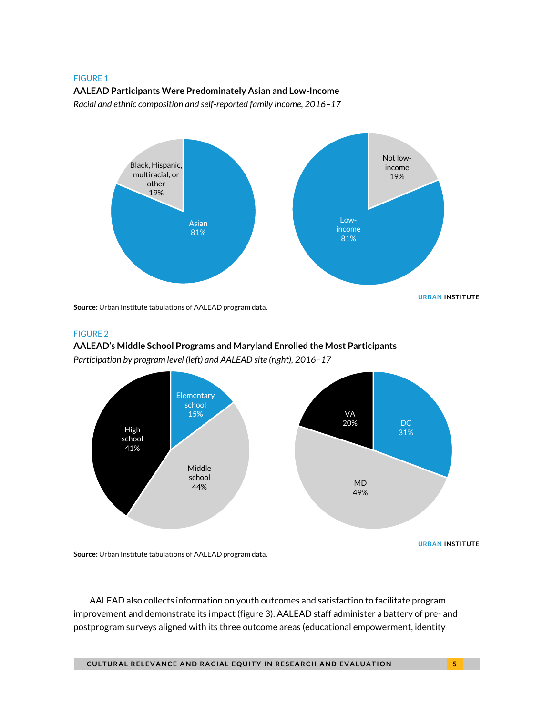#### FIGURE 1

#### **AALEAD Participants Were Predominately Asian and Low-Income**

*Racial and ethnic composition and self-reported family income, 2016–17*



**Source:** Urban Institute tabulations of AALEAD program data.

#### FIGURE 2

### **AALEAD's Middle School Programs and Maryland Enrolled the Most Participants**  *Participation by program level (left) and AALEAD site (right), 2016–17*



AALEAD also collects information on youth outcomes and satisfaction to facilitate program improvement and demonstrate its impact (figure 3). AALEAD staff administer a battery of pre- and postprogram surveys aligned with its three outcome areas (educational empowerment, identity

**CULTURAL RELEVANCE AND RACIAL EQUITY IN RESEARCH AND EVALUATION**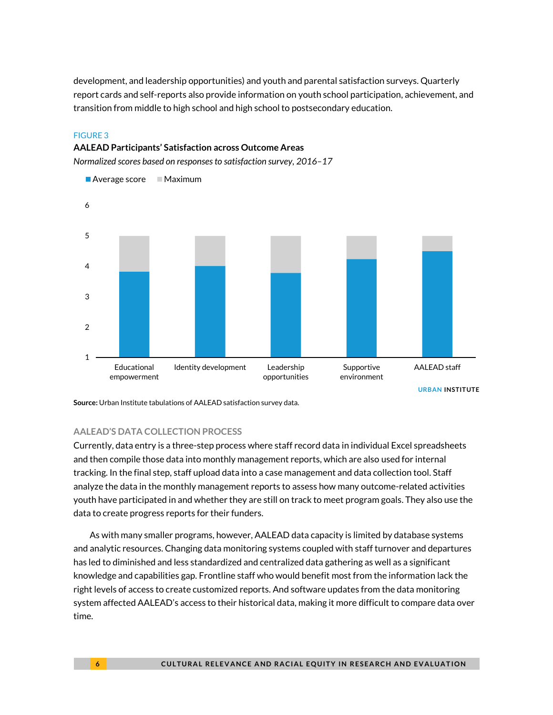development, and leadership opportunities) and youth and parental satisfaction surveys. Quarterly report cards and self-reports also provide information on youth school participation, achievement, and transition from middle to high school and high school to postsecondary education.

#### FIGURE 3

### **AALEAD Participants' Satisfaction across Outcome Areas**

*Normalized scores based on responses to satisfaction survey, 2016–17*



**Source:** Urban Institute tabulations of AALEAD satisfaction survey data.

### **AALEAD'S DATA COLLECTION PROCESS**

Currently, data entry is a three-step process where staff record data in individual Excel spreadsheets and then compile those data into monthly management reports, which are also used for internal tracking. In the final step, staff upload data into a case management and data collection tool. Staff analyze the data in the monthly management reports to assess how many outcome-related activities youth have participated in and whether they are still on track to meet program goals. They also use the data to create progress reports for their funders.

As with many smaller programs, however, AALEAD data capacity is limited by database systems and analytic resources. Changing data monitoring systems coupled with staff turnover and departures has led to diminished and less standardized and centralized data gathering as well as a significant knowledge and capabilities gap. Frontline staff who would benefit most from the information lack the right levels of access to create customized reports. And software updates from the data monitoring system affected AALEAD's access to their historical data, making it more difficult to compare data over time.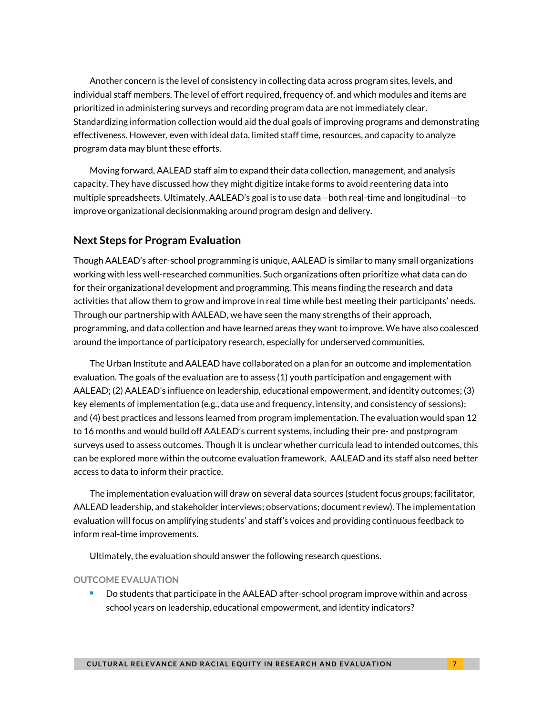Another concern is the level of consistency in collecting data across program sites, levels, and individual staff members. The level of effort required, frequency of, and which modules and items are prioritized in administering surveys and recording program data are not immediately clear. Standardizing information collection would aid the dual goals of improving programs and demonstrating effectiveness. However, even with ideal data, limited staff time, resources, and capacity to analyze program data may blunt these efforts.

Moving forward, AALEAD staff aim to expand their data collection, management, and analysis capacity. They have discussed how they might digitize intake forms to avoid reentering data into multiple spreadsheets. Ultimately, AALEAD's goal is to use data—both real-time and longitudinal—to improve organizational decisionmaking around program design and delivery.

## **Next Steps for Program Evaluation**

Though AALEAD's after-school programming is unique, AALEAD is similar to many small organizations working with less well-researched communities. Such organizations often prioritize what data can do for their organizational development and programming. This means finding the research and data activities that allow them to grow and improve in real time while best meeting their participants' needs. Through our partnership with AALEAD, we have seen the many strengths of their approach, programming, and data collection and have learned areas they want to improve. We have also coalesced around the importance of participatory research, especially for underserved communities.

The Urban Institute and AALEAD have collaborated on a plan for an outcome and implementation evaluation. The goals of the evaluation are to assess (1) youth participation and engagement with AALEAD; (2) AALEAD's influence on leadership, educational empowerment, and identity outcomes; (3) key elements of implementation (e.g., data use and frequency, intensity, and consistency of sessions); and (4) best practices and lessons learned from program implementation. The evaluation would span 12 to 16 months and would build off AALEAD's current systems, including their pre- and postprogram surveys used to assess outcomes. Though it is unclear whether curricula lead to intended outcomes, this can be explored more within the outcome evaluation framework. AALEAD and its staff also need better access to data to inform their practice.

The implementation evaluation will draw on several data sources (student focus groups; facilitator, AALEAD leadership, and stakeholder interviews; observations; document review). The implementation evaluation will focus on amplifying students' and staff's voices and providing continuous feedback to inform real-time improvements.

Ultimately, the evaluation should answer the following research questions.

### **OUTCOME EVALUATION**

 Do students that participate in the AALEAD after-school program improve within and across school years on leadership, educational empowerment, and identity indicators?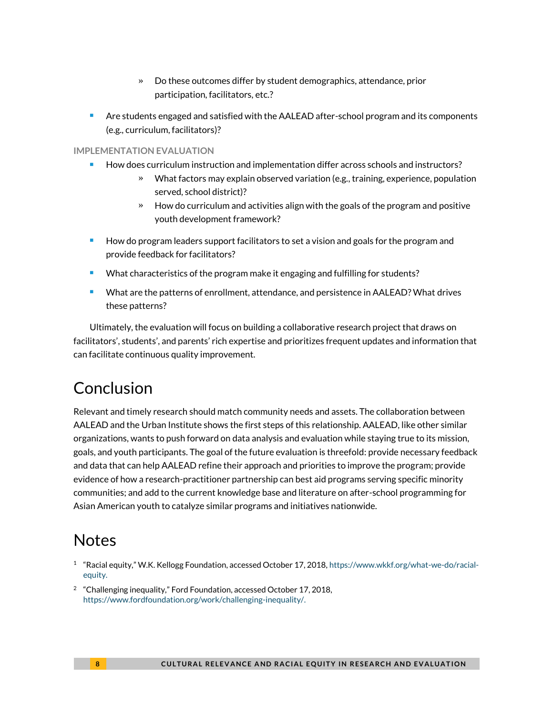- » Do these outcomes differ by student demographics, attendance, prior participation, facilitators, etc.?
- **Are students engaged and satisfied with the AALEAD after-school program and its components** (e.g., curriculum, facilitators)?

### **IMPLEMENTATION EVALUATION**

- How does curriculum instruction and implementation differ across schools and instructors?
	- » What factors may explain observed variation (e.g., training, experience, population served, school district)?
	- » How do curriculum and activities align with the goals of the program and positive youth development framework?
- How do program leaders support facilitators to set a vision and goals for the program and provide feedback for facilitators?
- What characteristics of the program make it engaging and fulfilling for students?
- What are the patterns of enrollment, attendance, and persistence in AALEAD? What drives these patterns?

Ultimately, the evaluation will focus on building a collaborative research project that draws on facilitators', students', and parents' rich expertise and prioritizes frequent updates and information that can facilitate continuous quality improvement.

# Conclusion

Relevant and timely research should match community needs and assets. The collaboration between AALEAD and the Urban Institute shows the first steps of this relationship. AALEAD, like other similar organizations, wants to push forward on data analysis and evaluation while staying true to its mission, goals, and youth participants. The goal of the future evaluation is threefold: provide necessary feedback and data that can help AALEAD refine their approach and priorities to improve the program; provide evidence of how a research-practitioner partnership can best aid programs serving specific minority communities; and add to the current knowledge base and literature on after-school programming for Asian American youth to catalyze similar programs and initiatives nationwide.

# **Notes**

- 1 "Racial equity," W.K. Kellogg Foundation, accessed October 17, 2018, [https://www.wkkf.org/what-we-do/racial](https://www.wkkf.org/what-we-do/racial-equity)[equity.](https://www.wkkf.org/what-we-do/racial-equity)
- <sup>2</sup> "Challenging inequality," Ford Foundation, accessed October 17, 2018, [https://www.fordfoundation.org/work/challenging-inequality/.](https://www.fordfoundation.org/work/challenging-inequality/)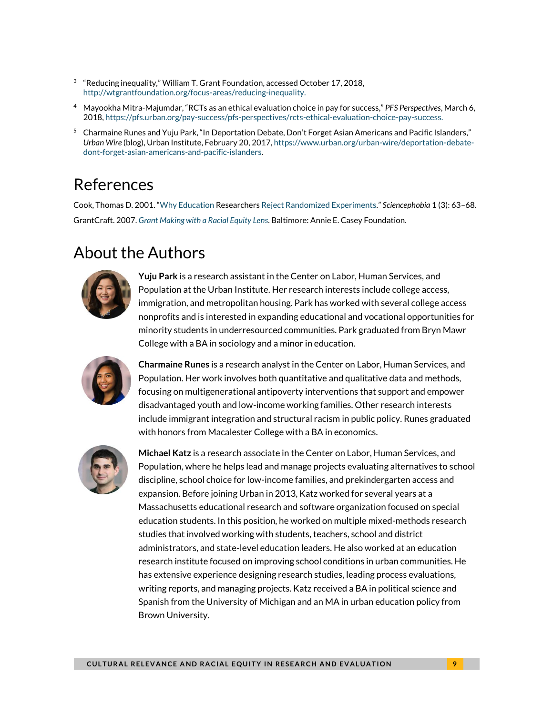- $3$  "Reducing inequality," William T. Grant Foundation, accessed October 17, 2018, [http://wtgrantfoundation.org/focus-areas/reducing-inequality.](http://wtgrantfoundation.org/focus-areas/reducing-inequality)
- <sup>4</sup> Mayookha Mitra-Majumdar, "RCTs as an ethical evaluation choice in pay for success," *PFS Perspectives*, March 6, 2018[, https://pfs.urban.org/pay-success/pfs-perspectives/rcts-ethical-evaluation-choice-pay-success.](https://pfs.urban.org/pay-success/pfs-perspectives/rcts-ethical-evaluation-choice-pay-success)
- <sup>5</sup> Charmaine Runes and Yuju Park, "In Deportation Debate, Don't Forget Asian Americans and Pacific Islanders," *Urban Wire* (blog), Urban Institute, February 20, 2017[, https://www.urban.org/urban-wire/deportation-debate](https://www.urban.org/urban-wire/deportation-debate-dont-forget-asian-americans-and-pacific-islanders)[dont-forget-asian-americans-and-pacific-islanders.](https://www.urban.org/urban-wire/deportation-debate-dont-forget-asian-americans-and-pacific-islanders)

# References

Cook, Thomas D. 2001. "Why Education Researchers [Reject Randomized Experiments](https://www.educationnext.org/files/ednext20013_62.pdf)." *Sciencephobia* 1 (3): 63–68. GrantCraft. 2007. *[Grant Making with a Racial Equity Lens](https://www.aecf.org/resources/grant-making-with-a-racial-equity-lens/)*. Baltimore: Annie E. Casey Foundation.

# About the Authors



**Yuju Park** is a research assistant in the Center on Labor, Human Services, and Population at the Urban Institute. Her research interests include college access, immigration, and metropolitan housing. Park has worked with several college access nonprofits and is interested in expanding educational and vocational opportunities for minority students in underresourced communities. Park graduated from Bryn Mawr College with a BA in sociology and a minor in education.



**Charmaine Runes** is a research analyst in the Center on Labor, Human Services, and Population. Her work involves both quantitative and qualitative data and methods, focusing on multigenerational antipoverty interventions that support and empower disadvantaged youth and low-income working families. Other research interests include immigrant integration and structural racism in public policy. Runes graduated with honors from Macalester College with a BA in economics.



**Michael Katz** is a research associate in the Center on Labor, Human Services, and Population, where he helps lead and manage projects evaluating alternatives to school discipline, school choice for low-income families, and prekindergarten access and expansion. Before joining Urban in 2013, Katz worked for several years at a Massachusetts educational research and software organization focused on special education students. In this position, he worked on multiple mixed-methods research studies that involved working with students, teachers, school and district administrators, and state-level education leaders. He also worked at an education research institute focused on improving school conditions in urban communities. He has extensive experience designing research studies, leading process evaluations, writing reports, and managing projects. Katz received a BA in political science and Spanish from the University of Michigan and an MA in urban education policy from Brown University.